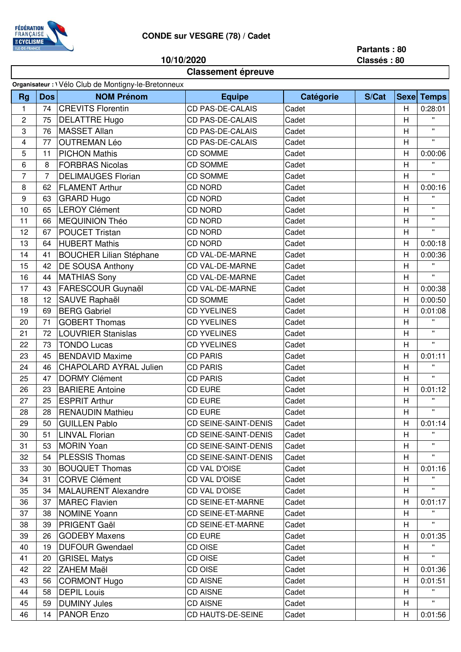

## **CONDE sur VESGRE (78) / Cadet**

**10/10/2020**

## **Partants : 80**

**Classés : 80**

| <b>Classement épreuve</b>                          |                |                                |                             |           |       |    |                   |  |  |  |  |  |
|----------------------------------------------------|----------------|--------------------------------|-----------------------------|-----------|-------|----|-------------------|--|--|--|--|--|
| Organisateur : Vélo Club de Montigny-le-Bretonneux |                |                                |                             |           |       |    |                   |  |  |  |  |  |
| <b>Rg</b>                                          | <b>Dos</b>     | <b>NOM Prénom</b>              | <b>Equipe</b>               | Catégorie | S/Cat |    | <b>Sexe Temps</b> |  |  |  |  |  |
| 1                                                  | 74             | <b>CREVITS Florentin</b>       | <b>CD PAS-DE-CALAIS</b>     | Cadet     |       | H  | 0:28:01           |  |  |  |  |  |
| $\overline{c}$                                     | 75             | <b>DELATTRE Hugo</b>           | <b>CD PAS-DE-CALAIS</b>     | Cadet     |       | H  | $\mathbf{u}$      |  |  |  |  |  |
| 3                                                  | 76             | <b>MASSET Allan</b>            | CD PAS-DE-CALAIS            | Cadet     |       | H  | $\mathbf{H}$      |  |  |  |  |  |
| 4                                                  | 77             | <b>OUTREMAN Léo</b>            | <b>CD PAS-DE-CALAIS</b>     | Cadet     |       | H  | $\mathbf{u}$      |  |  |  |  |  |
| 5                                                  | 11             | <b>PICHON Mathis</b>           | <b>CD SOMME</b>             | Cadet     |       | Н  | 0:00:06           |  |  |  |  |  |
| 6                                                  | 8              | <b>FORBRAS Nicolas</b>         | <b>CD SOMME</b>             | Cadet     |       | H  | $\mathbf{u}$      |  |  |  |  |  |
| $\overline{7}$                                     | $\overline{7}$ | <b>DELIMAUGES Florian</b>      | <b>CD SOMME</b>             | Cadet     |       | H  | $\mathbf{u}$      |  |  |  |  |  |
| 8                                                  | 62             | <b>FLAMENT Arthur</b>          | <b>CD NORD</b>              | Cadet     |       | H  | 0:00:16           |  |  |  |  |  |
| 9                                                  | 63             | <b>GRARD Hugo</b>              | <b>CD NORD</b>              | Cadet     |       | H  | $\mathbf{u}$      |  |  |  |  |  |
| 10                                                 | 65             | <b>LEROY Clément</b>           | <b>CD NORD</b>              | Cadet     |       | H  | $\mathbf{u}$      |  |  |  |  |  |
| 11                                                 | 66             | MEQUINION Théo                 | <b>CD NORD</b>              | Cadet     |       | Η  | $\mathbf{H}$      |  |  |  |  |  |
| 12                                                 | 67             | <b>POUCET Tristan</b>          | <b>CD NORD</b>              | Cadet     |       | Η  | π.                |  |  |  |  |  |
| 13                                                 | 64             | <b>HUBERT Mathis</b>           | <b>CD NORD</b>              | Cadet     |       | H  | 0:00:18           |  |  |  |  |  |
| 14                                                 | 41             | <b>BOUCHER Lilian Stéphane</b> | <b>CD VAL-DE-MARNE</b>      | Cadet     |       | Η  | 0:00:36           |  |  |  |  |  |
| 15                                                 | 42             | DE SOUSA Anthony               | <b>CD VAL-DE-MARNE</b>      | Cadet     |       | H  | $\mathbf{H}$      |  |  |  |  |  |
| 16                                                 | 44             | <b>MATHIAS Sony</b>            | <b>CD VAL-DE-MARNE</b>      | Cadet     |       | Η  | $\mathbf{u}$      |  |  |  |  |  |
| 17                                                 | 43             | FARESCOUR Guynaël              | <b>CD VAL-DE-MARNE</b>      | Cadet     |       | Η  | 0:00:38           |  |  |  |  |  |
| 18                                                 | 12             | SAUVE Raphaël                  | <b>CD SOMME</b>             | Cadet     |       | H  | 0:00:50           |  |  |  |  |  |
| 19                                                 | 69             | <b>BERG Gabriel</b>            | <b>CD YVELINES</b>          | Cadet     |       | H  | 0:01:08           |  |  |  |  |  |
| 20                                                 | 71             | <b>GOBERT Thomas</b>           | <b>CD YVELINES</b>          | Cadet     |       | H  | $\mathbf{u}$      |  |  |  |  |  |
| 21                                                 | 72             | <b>LOUVRIER Stanislas</b>      | <b>CD YVELINES</b>          | Cadet     |       | Η  | π.                |  |  |  |  |  |
| 22                                                 | 73             | <b>TONDO Lucas</b>             | <b>CD YVELINES</b>          | Cadet     |       | Η  | $\mathbf{H}$      |  |  |  |  |  |
| 23                                                 | 45             | <b>BENDAVID Maxime</b>         | <b>CD PARIS</b>             | Cadet     |       | H  | 0:01:11           |  |  |  |  |  |
| 24                                                 | 46             | <b>CHAPOLARD AYRAL Julien</b>  | <b>CD PARIS</b>             | Cadet     |       | H  | $\mathbf{H}$      |  |  |  |  |  |
| 25                                                 | 47             | <b>DORMY Clément</b>           | <b>CD PARIS</b>             | Cadet     |       | H  | $\mathbf{H}$      |  |  |  |  |  |
| 26                                                 | 23             | <b>BARIERE Antoine</b>         | <b>CD EURE</b>              | Cadet     |       | H  | 0:01:12           |  |  |  |  |  |
| 27                                                 | 25             | <b>ESPRIT Arthur</b>           | <b>CD EURE</b>              | Cadet     |       | Н  | Ħ                 |  |  |  |  |  |
| 28                                                 | 28             | <b>RENAUDIN Mathieu</b>        | CD EURE                     | Cadet     |       | Н  | $\mathbf{H}$ .    |  |  |  |  |  |
| 29                                                 | 50             | <b>GUILLEN Pablo</b>           | <b>CD SEINE-SAINT-DENIS</b> | Cadet     |       | Н  | 0:01:14           |  |  |  |  |  |
| 30                                                 | 51             | <b>LINVAL Florian</b>          | <b>CD SEINE-SAINT-DENIS</b> | Cadet     |       | H  |                   |  |  |  |  |  |
| 31                                                 | 53             | <b>MORIN Yoan</b>              | <b>CD SEINE-SAINT-DENIS</b> | Cadet     |       | H. |                   |  |  |  |  |  |
| 32                                                 | 54             | <b>PLESSIS Thomas</b>          | <b>CD SEINE-SAINT-DENIS</b> | Cadet     |       | H. | $\mathbf{H}$      |  |  |  |  |  |
| 33                                                 | 30             | <b>BOUQUET Thomas</b>          | <b>CD VAL D'OISE</b>        | Cadet     |       | Н  | 0:01:16           |  |  |  |  |  |
| 34                                                 | 31             | <b>CORVE Clément</b>           | CD VAL D'OISE               | Cadet     |       | Н  | π.                |  |  |  |  |  |
| 35                                                 | 34             | <b>MALAURENT Alexandre</b>     | CD VAL D'OISE               | Cadet     |       | H  | $\mathbf{H}$      |  |  |  |  |  |
| 36                                                 | 37             | <b>MAREC Flavien</b>           | <b>CD SEINE-ET-MARNE</b>    | Cadet     |       | Н  | 0:01:17           |  |  |  |  |  |
| 37                                                 | 38             | <b>NOMINE Yoann</b>            | <b>CD SEINE-ET-MARNE</b>    | Cadet     |       | H  | π.                |  |  |  |  |  |
| 38                                                 | 39             | <b>PRIGENT Gaël</b>            | <b>CD SEINE-ET-MARNE</b>    | Cadet     |       | H  |                   |  |  |  |  |  |
| 39                                                 | 26             | <b>GODEBY Maxens</b>           | <b>CD EURE</b>              | Cadet     |       | H  | 0:01:35           |  |  |  |  |  |
| 40                                                 | 19             | <b>DUFOUR Gwendael</b>         | CD OISE                     | Cadet     |       | H  |                   |  |  |  |  |  |
| 41                                                 | 20             | <b>GRISEL Matys</b>            | CD OISE                     | Cadet     |       | H  | π.                |  |  |  |  |  |
| 42                                                 | 22             | <b>ZAHEM Maël</b>              | CD OISE                     | Cadet     |       | Н  | 0:01:36           |  |  |  |  |  |
| 43                                                 | 56             | <b>CORMONT Hugo</b>            | <b>CD AISNE</b>             | Cadet     |       | Н  | 0:01:51           |  |  |  |  |  |
| 44                                                 | 58             | <b>DEPIL Louis</b>             | <b>CD AISNE</b>             | Cadet     |       | H  |                   |  |  |  |  |  |
| 45                                                 | 59             | <b>DUMINY Jules</b>            | <b>CD AISNE</b>             | Cadet     |       | H. | H.                |  |  |  |  |  |
| 46                                                 | 14             | <b>PANOR Enzo</b>              | CD HAUTS-DE-SEINE           | Cadet     |       | H  | 0:01:56           |  |  |  |  |  |